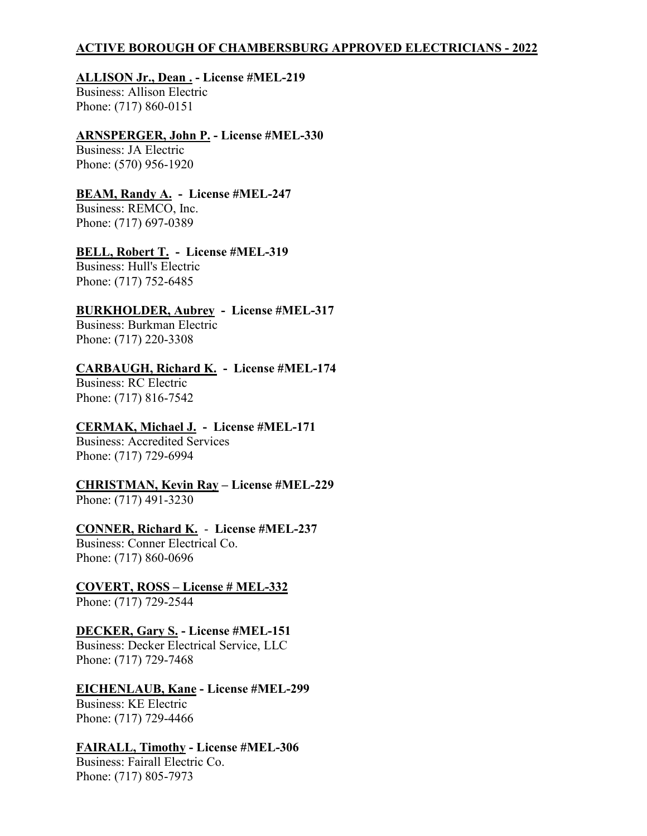# **ACTIVE BOROUGH OF CHAMBERSBURG APPROVED ELECTRICIANS - 2022**

# **ALLISON Jr., Dean . - License #MEL-219**

Business: Allison Electric Phone: (717) 860-0151

## **ARNSPERGER, John P. - License #MEL-330**

Business: JA Electric Phone: (570) 956-1920

# **BEAM, Randy A. - License #MEL-247**

Business: REMCO, Inc. Phone: (717) 697-0389

# **BELL, Robert T. - License #MEL-319**

Business: Hull's Electric Phone: (717) 752-6485

# **BURKHOLDER, Aubrey - License #MEL-317**

Business: Burkman Electric Phone: (717) 220-3308

# **CARBAUGH, Richard K. - License #MEL-174**

Business: RC Electric Phone: (717) 816-7542

# **CERMAK, Michael J. - License #MEL-171**

Business: Accredited Services Phone: (717) 729-6994

# **CHRISTMAN, Kevin Ray – License #MEL-229**

Phone: (717) 491-3230

## **CONNER, Richard K.** - **License #MEL-237**

Business: Conner Electrical Co. Phone: (717) 860-0696

# **COVERT, ROSS – License # MEL-332**

Phone: (717) 729-2544

# **DECKER, Gary S. - License #MEL-151**

Business: Decker Electrical Service, LLC Phone: (717) 729-7468

# **EICHENLAUB, Kane - License #MEL-299**

Business: KE Electric Phone: (717) 729-4466

## **FAIRALL, Timothy - License #MEL-306**

Business: Fairall Electric Co. Phone: (717) 805-7973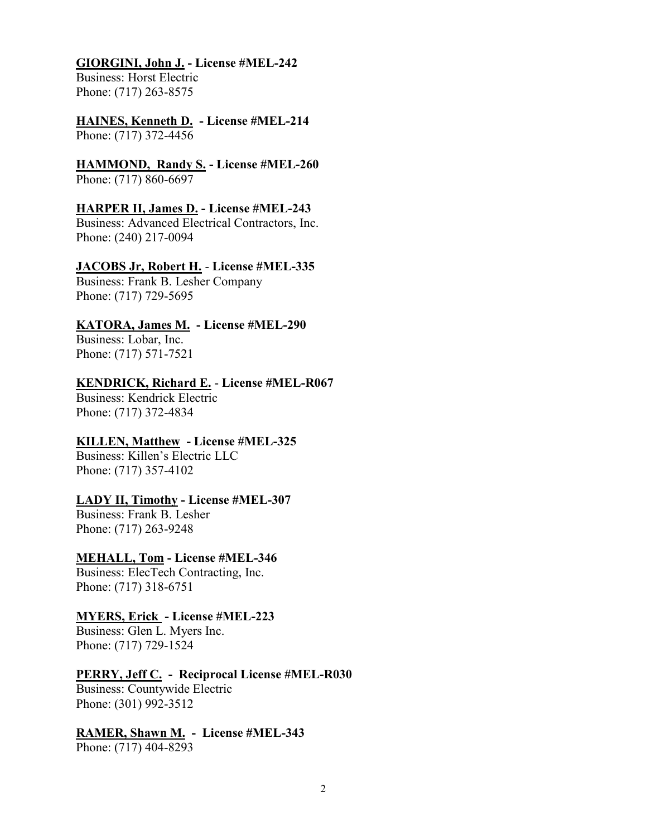#### **GIORGINI, John J. - License #MEL-242**

Business: Horst Electric Phone: (717) 263-8575

#### **HAINES, Kenneth D. - License #MEL-214** Phone: (717) 372-4456

**HAMMOND, Randy S. - License #MEL-260** Phone: (717) 860-6697

## **HARPER II, James D. - License #MEL-243**

Business: Advanced Electrical Contractors, Inc. Phone: (240) 217-0094

## **JACOBS Jr, Robert H.** - **License #MEL-335**

Business: Frank B. Lesher Company Phone: (717) 729-5695

## **KATORA, James M. - License #MEL-290**

Business: Lobar, Inc. Phone: (717) 571-7521

#### **KENDRICK, Richard E.** - **License #MEL-R067**

Business: Kendrick Electric Phone: (717) 372-4834

# **KILLEN, Matthew - License #MEL-325**

Business: Killen's Electric LLC Phone: (717) 357-4102

## **LADY II, Timothy - License #MEL-307**

Business: Frank B. Lesher Phone: (717) 263-9248

## **MEHALL, Tom - License #MEL-346**

Business: ElecTech Contracting, Inc. Phone: (717) 318-6751

## **MYERS, Erick - License #MEL-223**

Business: Glen L. Myers Inc. Phone: (717) 729-1524

## **PERRY, Jeff C. - Reciprocal License #MEL-R030**

Business: Countywide Electric Phone: (301) 992-3512

## **RAMER, Shawn M. - License #MEL-343**

Phone: (717) 404-8293